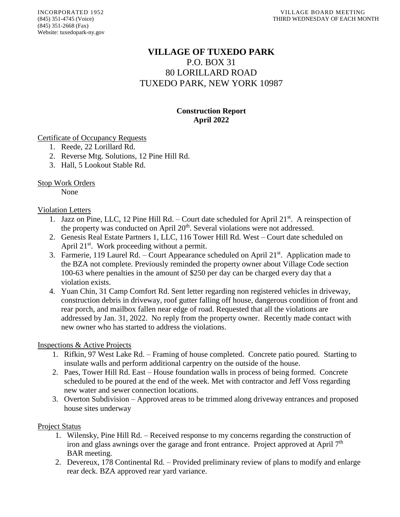# **VILLAGE OF TUXEDO PARK** P.O. BOX 31 80 LORILLARD ROAD TUXEDO PARK, NEW YORK 10987

# **Construction Report April 2022**

#### Certificate of Occupancy Requests

- 1. Reede, 22 Lorillard Rd.
- 2. Reverse Mtg. Solutions, 12 Pine Hill Rd.
- 3. Hall, 5 Lookout Stable Rd.

### Stop Work Orders

None

#### Violation Letters

- 1. Jazz on Pine, LLC, 12 Pine Hill Rd. Court date scheduled for April 21<sup>st</sup>. A reinspection of the property was conducted on April 20<sup>th</sup>. Several violations were not addressed.
- 2. Genesis Real Estate Partners 1, LLC, 116 Tower Hill Rd. West Court date scheduled on April 21<sup>st</sup>. Work proceeding without a permit.
- 3. Farmerie, 119 Laurel Rd. Court Appearance scheduled on April  $21<sup>st</sup>$ . Application made to the BZA not complete. Previously reminded the property owner about Village Code section 100-63 where penalties in the amount of \$250 per day can be charged every day that a violation exists.
- 4. Yuan Chin, 31 Camp Comfort Rd. Sent letter regarding non registered vehicles in driveway, construction debris in driveway, roof gutter falling off house, dangerous condition of front and rear porch, and mailbox fallen near edge of road. Requested that all the violations are addressed by Jan. 31, 2022. No reply from the property owner. Recently made contact with new owner who has started to address the violations.

#### Inspections & Active Projects

- 1. Rifkin, 97 West Lake Rd. Framing of house completed. Concrete patio poured. Starting to insulate walls and perform additional carpentry on the outside of the house.
- 2. Paes, Tower Hill Rd. East House foundation walls in process of being formed. Concrete scheduled to be poured at the end of the week. Met with contractor and Jeff Voss regarding new water and sewer connection locations.
- 3. Overton Subdivision Approved areas to be trimmed along driveway entrances and proposed house sites underway

#### Project Status

- 1. Wilensky, Pine Hill Rd. Received response to my concerns regarding the construction of iron and glass awnings over the garage and front entrance. Project approved at April  $7<sup>th</sup>$ BAR meeting.
- 2. Devereux, 178 Continental Rd. Provided preliminary review of plans to modify and enlarge rear deck. BZA approved rear yard variance.